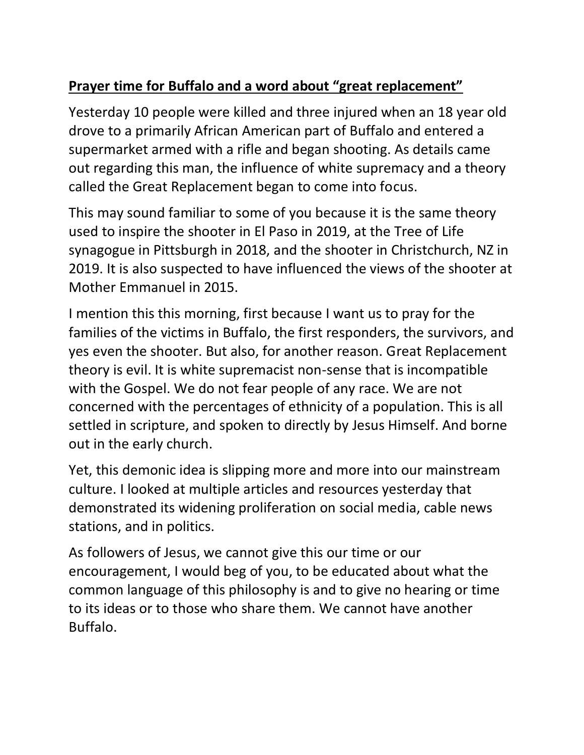# **Prayer time for Buffalo and a word about "great replacement"**

Yesterday 10 people were killed and three injured when an 18 year old drove to a primarily African American part of Buffalo and entered a supermarket armed with a rifle and began shooting. As details came out regarding this man, the influence of white supremacy and a theory called the Great Replacement began to come into focus.

This may sound familiar to some of you because it is the same theory used to inspire the shooter in El Paso in 2019, at the Tree of Life synagogue in Pittsburgh in 2018, and the shooter in Christchurch, NZ in 2019. It is also suspected to have influenced the views of the shooter at Mother Emmanuel in 2015.

I mention this this morning, first because I want us to pray for the families of the victims in Buffalo, the first responders, the survivors, and yes even the shooter. But also, for another reason. Great Replacement theory is evil. It is white supremacist non-sense that is incompatible with the Gospel. We do not fear people of any race. We are not concerned with the percentages of ethnicity of a population. This is all settled in scripture, and spoken to directly by Jesus Himself. And borne out in the early church.

Yet, this demonic idea is slipping more and more into our mainstream culture. I looked at multiple articles and resources yesterday that demonstrated its widening proliferation on social media, cable news stations, and in politics.

As followers of Jesus, we cannot give this our time or our encouragement, I would beg of you, to be educated about what the common language of this philosophy is and to give no hearing or time to its ideas or to those who share them. We cannot have another Buffalo.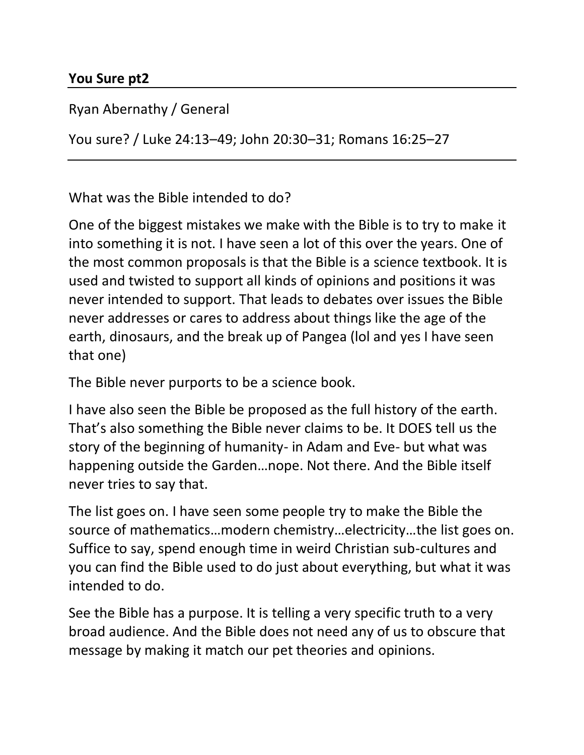#### **You Sure pt2**

Ryan Abernathy / General

You sure? / Luke 24:13–49; John 20:30–31; Romans 16:25–27

What was the Bible intended to do?

One of the biggest mistakes we make with the Bible is to try to make it into something it is not. I have seen a lot of this over the years. One of the most common proposals is that the Bible is a science textbook. It is used and twisted to support all kinds of opinions and positions it was never intended to support. That leads to debates over issues the Bible never addresses or cares to address about things like the age of the earth, dinosaurs, and the break up of Pangea (lol and yes I have seen that one)

The Bible never purports to be a science book.

I have also seen the Bible be proposed as the full history of the earth. That's also something the Bible never claims to be. It DOES tell us the story of the beginning of humanity- in Adam and Eve- but what was happening outside the Garden…nope. Not there. And the Bible itself never tries to say that.

The list goes on. I have seen some people try to make the Bible the source of mathematics…modern chemistry…electricity…the list goes on. Suffice to say, spend enough time in weird Christian sub-cultures and you can find the Bible used to do just about everything, but what it was intended to do.

See the Bible has a purpose. It is telling a very specific truth to a very broad audience. And the Bible does not need any of us to obscure that message by making it match our pet theories and opinions.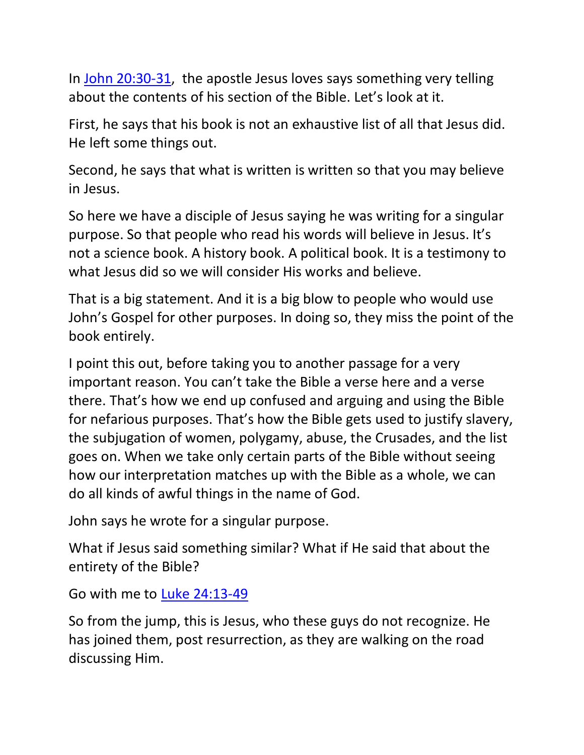In [John 20:30-31,](https://ref.ly/logosref/BibleESV.Jn20.30-31) the apostle Jesus loves says something very telling about the contents of his section of the Bible. Let's look at it.

First, he says that his book is not an exhaustive list of all that Jesus did. He left some things out.

Second, he says that what is written is written so that you may believe in Jesus.

So here we have a disciple of Jesus saying he was writing for a singular purpose. So that people who read his words will believe in Jesus. It's not a science book. A history book. A political book. It is a testimony to what Jesus did so we will consider His works and believe.

That is a big statement. And it is a big blow to people who would use John's Gospel for other purposes. In doing so, they miss the point of the book entirely.

I point this out, before taking you to another passage for a very important reason. You can't take the Bible a verse here and a verse there. That's how we end up confused and arguing and using the Bible for nefarious purposes. That's how the Bible gets used to justify slavery, the subjugation of women, polygamy, abuse, the Crusades, and the list goes on. When we take only certain parts of the Bible without seeing how our interpretation matches up with the Bible as a whole, we can do all kinds of awful things in the name of God.

John says he wrote for a singular purpose.

What if Jesus said something similar? What if He said that about the entirety of the Bible?

Go with me to [Luke 24:13-49](https://ref.ly/logosref/BibleESV.Lk24.13-49)

So from the jump, this is Jesus, who these guys do not recognize. He has joined them, post resurrection, as they are walking on the road discussing Him.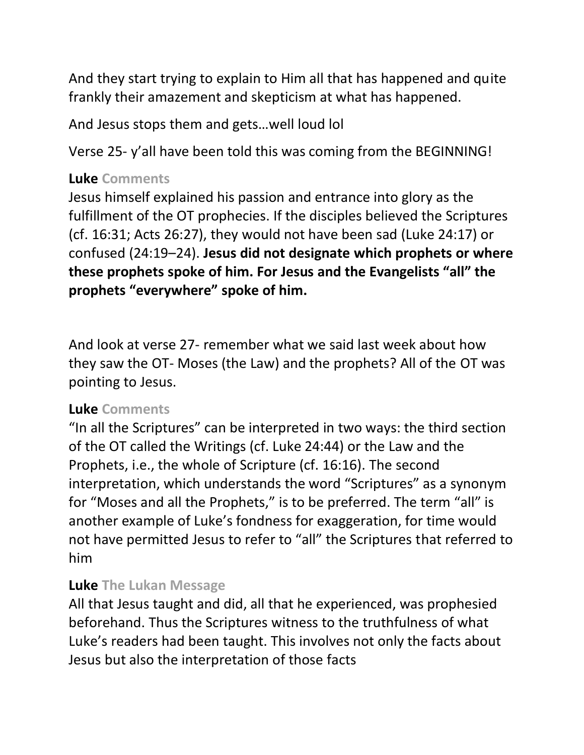And they start trying to explain to Him all that has happened and quite frankly their amazement and skepticism at what has happened.

And Jesus stops them and gets…well loud lol

Verse 25- y'all have been told this was coming from the BEGINNING!

#### **Luke Comments**

Jesus himself explained his passion and entrance into glory as the fulfillment of the OT prophecies. If the disciples believed the Scriptures (cf. 16:31; Acts 26:27), they would not have been sad (Luke 24:17) or confused (24:19–24). **Jesus did not designate which prophets or where these prophets spoke of him. For Jesus and the Evangelists "all" the prophets "everywhere" spoke of him.**

And look at verse 27- remember what we said last week about how they saw the OT- Moses (the Law) and the prophets? All of the OT was pointing to Jesus.

# **Luke Comments**

"In all the Scriptures" can be interpreted in two ways: the third section of the OT called the Writings (cf. Luke 24:44) or the Law and the Prophets, i.e., the whole of Scripture (cf. 16:16). The second interpretation, which understands the word "Scriptures" as a synonym for "Moses and all the Prophets," is to be preferred. The term "all" is another example of Luke's fondness for exaggeration, for time would not have permitted Jesus to refer to "all" the Scriptures that referred to him

# **Luke The Lukan Message**

All that Jesus taught and did, all that he experienced, was prophesied beforehand. Thus the Scriptures witness to the truthfulness of what Luke's readers had been taught. This involves not only the facts about Jesus but also the interpretation of those facts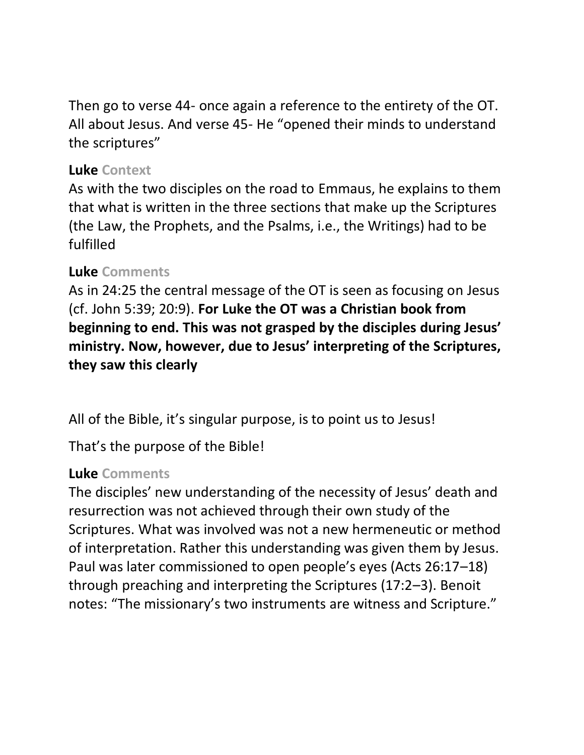Then go to verse 44- once again a reference to the entirety of the OT. All about Jesus. And verse 45- He "opened their minds to understand the scriptures"

#### **Luke Context**

As with the two disciples on the road to Emmaus, he explains to them that what is written in the three sections that make up the Scriptures (the Law, the Prophets, and the Psalms, i.e., the Writings) had to be fulfilled

### **Luke Comments**

As in 24:25 the central message of the OT is seen as focusing on Jesus (cf. John 5:39; 20:9). **For Luke the OT was a Christian book from beginning to end. This was not grasped by the disciples during Jesus' ministry. Now, however, due to Jesus' interpreting of the Scriptures, they saw this clearly**

All of the Bible, it's singular purpose, is to point us to Jesus!

That's the purpose of the Bible!

# **Luke Comments**

The disciples' new understanding of the necessity of Jesus' death and resurrection was not achieved through their own study of the Scriptures. What was involved was not a new hermeneutic or method of interpretation. Rather this understanding was given them by Jesus. Paul was later commissioned to open people's eyes (Acts 26:17–18) through preaching and interpreting the Scriptures (17:2–3). Benoit notes: "The missionary's two instruments are witness and Scripture."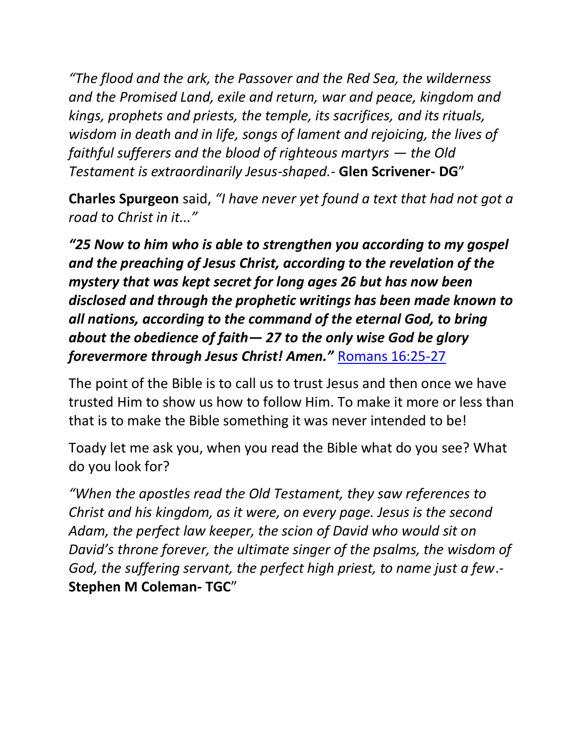*"The flood and the ark, the Passover and the Red Sea, the wilderness and the Promised Land, exile and return, war and peace, kingdom and kings, prophets and priests, the temple, its sacrifices, and its rituals, wisdom in death and in life, songs of lament and rejoicing, the lives of faithful sufferers and the blood of righteous martyrs — the Old Testament is extraordinarily Jesus-shaped.-* **Glen Scrivener- DG**"

**Charles Spurgeon** said, *"I have never yet found a text that had not got a road to Christ in it..."*

*"25 Now to him who is able to strengthen you according to my gospel and the preaching of Jesus Christ, according to the revelation of the mystery that was kept secret for long ages 26 but has now been disclosed and through the prophetic writings has been made known to all nations, according to the command of the eternal God, to bring about the obedience of faith— 27 to the only wise God be glory forevermore through Jesus Christ! Amen."* [Romans 16:25-27](https://ref.ly/logosref/BibleESV.Ro16.25-27)

The point of the Bible is to call us to trust Jesus and then once we have trusted Him to show us how to follow Him. To make it more or less than that is to make the Bible something it was never intended to be!

Toady let me ask you, when you read the Bible what do you see? What do you look for?

*"When the apostles read the Old Testament, they saw references to Christ and his kingdom, as it were, on every page. Jesus is the second Adam, the perfect law keeper, the scion of David who would sit on David's throne forever, the ultimate singer of the psalms, the wisdom of God, the suffering servant, the perfect high priest, to name just a few*.- **Stephen M Coleman- TGC**"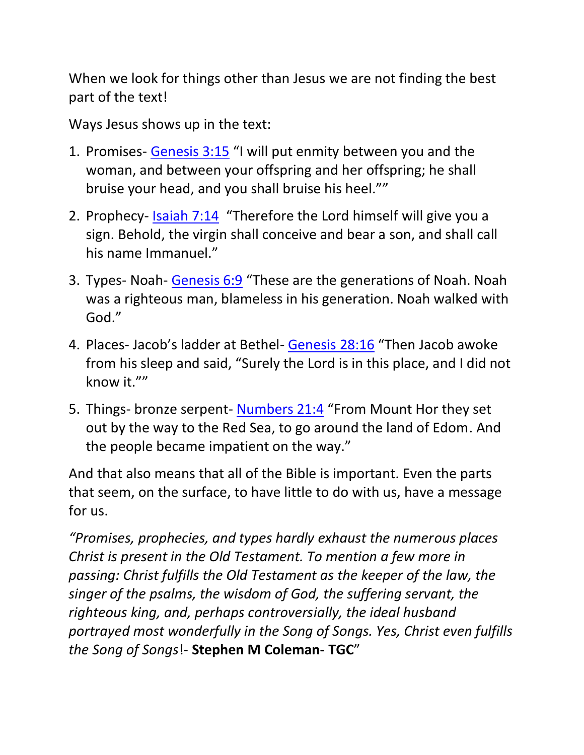When we look for things other than Jesus we are not finding the best part of the text!

Ways Jesus shows up in the text:

- 1. Promises- [Genesis 3:15](https://ref.ly/logosref/BibleESV.Ge3.15) "I will put enmity between you and the woman, and between your offspring and her offspring; he shall bruise your head, and you shall bruise his heel.""
- 2. Prophecy- [Isaiah 7:14](https://ref.ly/logosref/BibleESV.Is7.14) "Therefore the Lord himself will give you a sign. Behold, the virgin shall conceive and bear a son, and shall call his name Immanuel."
- 3. Types- Noah- [Genesis 6:9](https://ref.ly/logosref/BibleESV.Ge6.9) "These are the generations of Noah. Noah was a righteous man, blameless in his generation. Noah walked with God."
- 4. Places- Jacob's ladder at Bethel- [Genesis](https://ref.ly/logosref/BibleESV.Ge28.16) 28:16 "Then Jacob awoke from his sleep and said, "Surely the Lord is in this place, and I did not know it.""
- 5. Things- bronze serpent- [Numbers 21:4](https://ref.ly/logosref/BibleESV.Nu21.4) "From Mount Hor they set out by the way to the Red Sea, to go around the land of Edom. And the people became impatient on the way."

And that also means that all of the Bible is important. Even the parts that seem, on the surface, to have little to do with us, have a message for us.

*"Promises, prophecies, and types hardly exhaust the numerous places Christ is present in the Old Testament. To mention a few more in passing: Christ fulfills the Old Testament as the keeper of the law, the singer of the psalms, the wisdom of God, the suffering servant, the righteous king, and, perhaps controversially, the ideal husband portrayed most wonderfully in the Song of Songs. Yes, Christ even fulfills the Song of Songs*!- **Stephen M Coleman- TGC**"